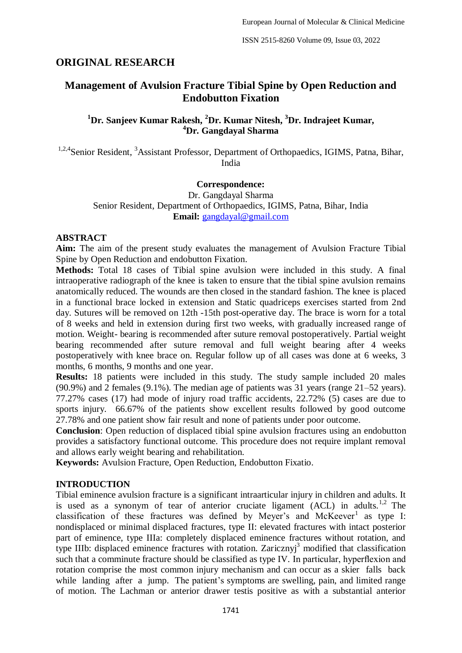# **ORIGINAL RESEARCH**

# **Management of Avulsion Fracture Tibial Spine by Open Reduction and Endobutton Fixation**

# **<sup>1</sup>Dr. Sanjeev Kumar Rakesh, <sup>2</sup>Dr. Kumar Nitesh, <sup>3</sup>Dr. Indrajeet Kumar, <sup>4</sup>Dr. Gangdayal Sharma**

<sup>1,2,4</sup>Senior Resident, <sup>3</sup>Assistant Professor, Department of Orthopaedics, IGIMS, Patna, Bihar, India

#### **Correspondence:**

Dr. Gangdayal Sharma Senior Resident, Department of Orthopaedics, IGIMS, Patna, Bihar, India **Email:** [gangdayal@gmail.com](mailto:gangdayal@gmail.com)

### **ABSTRACT**

**Aim:** The aim of the present study evaluates the management of Avulsion Fracture Tibial Spine by Open Reduction and endobutton Fixation.

**Methods:** Total 18 cases of Tibial spine avulsion were included in this study. A final intraoperative radiograph of the knee is taken to ensure that the tibial spine avulsion remains anatomically reduced. The wounds are then closed in the standard fashion. The knee is placed in a functional brace locked in extension and Static quadriceps exercises started from 2nd day. Sutures will be removed on 12th -15th post-operative day. The brace is worn for a total of 8 weeks and held in extension during first two weeks, with gradually increased range of motion. Weight- bearing is recommended after suture removal postoperatively. Partial weight bearing recommended after suture removal and full weight bearing after 4 weeks postoperatively with knee brace on. Regular follow up of all cases was done at 6 weeks, 3 months, 6 months, 9 months and one year.

**Results:** 18 patients were included in this study. The study sample included 20 males (90.9%) and 2 females (9.1%). The median age of patients was 31 years (range 21–52 years). 77.27% cases (17) had mode of injury road traffic accidents, 22.72% (5) cases are due to sports injury. 66.67% of the patients show excellent results followed by good outcome 27.78% and one patient show fair result and none of patients under poor outcome.

**Conclusion**: Open reduction of displaced tibial spine avulsion fractures using an endobutton provides a satisfactory functional outcome. This procedure does not require implant removal and allows early weight bearing and rehabilitation.

**Keywords:** Avulsion Fracture, Open Reduction, Endobutton Fixatio.

### **INTRODUCTION**

Tibial eminence avulsion fracture is a significant intraarticular injury in children and adults. It is used as a synonym of tear of anterior cruciate ligament  $(ACL)$  in adults.<sup>1,2</sup> The classification of these fractures was defined by Meyer's and McKeever<sup>1</sup> as type I: nondisplaced or minimal displaced fractures, type II: elevated fractures with intact posterior part of eminence, type IIIa: completely displaced eminence fractures without rotation, and type IIIb: displaced eminence fractures with rotation. Zaricznyj<sup>3</sup> modified that classification such that a comminute fracture should be classified as type IV. In particular, hyperflexion and rotation comprise the most common injury mechanism and can occur as a skier falls back while landing after a jump. The patient's symptoms are swelling, pain, and limited range of motion. The Lachman or anterior drawer testis positive as with a substantial anterior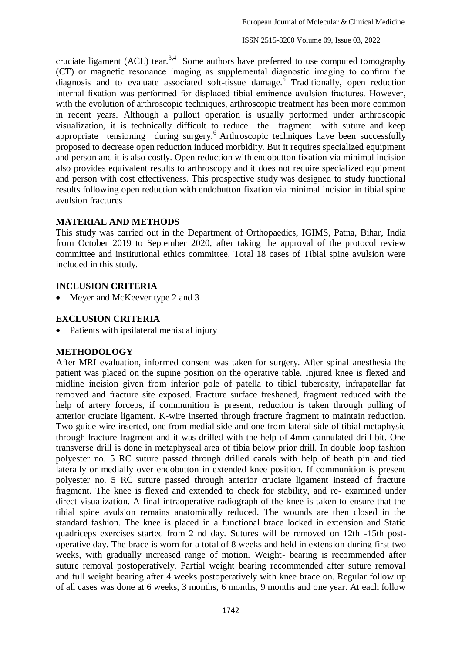cruciate ligament (ACL) tear.<sup>3,4</sup> Some authors have preferred to use computed tomography (CT) or magnetic resonance imaging as supplemental diagnostic imaging to confirm the diagnosis and to evaluate associated soft-tissue damage.<sup>5</sup> Traditionally, open reduction internal fixation was performed for displaced tibial eminence avulsion fractures. However, with the evolution of arthroscopic techniques, arthroscopic treatment has been more common in recent years. Although a pullout operation is usually performed under arthroscopic visualization, it is technically difficult to reduce the fragment with suture and keep appropriate tensioning during surgery.<sup>6</sup> Arthroscopic techniques have been successfully proposed to decrease open reduction induced morbidity. But it requires specialized equipment and person and it is also costly. Open reduction with endobutton fixation via minimal incision also provides equivalent results to arthroscopy and it does not require specialized equipment and person with cost effectiveness. This prospective study was designed to study functional results following open reduction with endobutton fixation via minimal incision in tibial spine avulsion fractures

## **MATERIAL AND METHODS**

This study was carried out in the Department of Orthopaedics, IGIMS, Patna, Bihar, India from October 2019 to September 2020, after taking the approval of the protocol review committee and institutional ethics committee. Total 18 cases of Tibial spine avulsion were included in this study.

## **INCLUSION CRITERIA**

• Meyer and McKeever type 2 and 3

# **EXCLUSION CRITERIA**

• Patients with ipsilateral meniscal injury

### **METHODOLOGY**

After MRI evaluation, informed consent was taken for surgery. After spinal anesthesia the patient was placed on the supine position on the operative table. Injured knee is flexed and midline incision given from inferior pole of patella to tibial tuberosity, infrapatellar fat removed and fracture site exposed. Fracture surface freshened, fragment reduced with the help of artery forceps, if communition is present, reduction is taken through pulling of anterior cruciate ligament. K-wire inserted through fracture fragment to maintain reduction. Two guide wire inserted, one from medial side and one from lateral side of tibial metaphysic through fracture fragment and it was drilled with the help of 4mm cannulated drill bit. One transverse drill is done in metaphyseal area of tibia below prior drill. In double loop fashion polyester no. 5 RC suture passed through drilled canals with help of beath pin and tied laterally or medially over endobutton in extended knee position. If communition is present polyester no. 5 RC suture passed through anterior cruciate ligament instead of fracture fragment. The knee is flexed and extended to check for stability, and re- examined under direct visualization. A final intraoperative radiograph of the knee is taken to ensure that the tibial spine avulsion remains anatomically reduced. The wounds are then closed in the standard fashion. The knee is placed in a functional brace locked in extension and Static quadriceps exercises started from 2 nd day. Sutures will be removed on 12th -15th postoperative day. The brace is worn for a total of 8 weeks and held in extension during first two weeks, with gradually increased range of motion. Weight- bearing is recommended after suture removal postoperatively. Partial weight bearing recommended after suture removal and full weight bearing after 4 weeks postoperatively with knee brace on. Regular follow up of all cases was done at 6 weeks, 3 months, 6 months, 9 months and one year. At each follow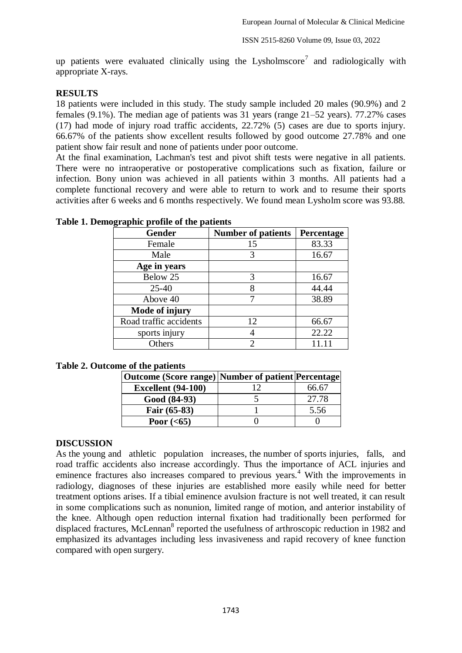up patients were evaluated clinically using the Lysholmscore<sup>7</sup> and radiologically with appropriate X-rays.

# **RESULTS**

18 patients were included in this study. The study sample included 20 males (90.9%) and 2 females (9.1%). The median age of patients was 31 years (range 21–52 years). 77.27% cases (17) had mode of injury road traffic accidents, 22.72% (5) cases are due to sports injury. 66.67% of the patients show excellent results followed by good outcome 27.78% and one patient show fair result and none of patients under poor outcome.

At the final examination, Lachman's test and pivot shift tests were negative in all patients. There were no intraoperative or postoperative complications such as fixation, failure or infection. Bony union was achieved in all patients within 3 months. All patients had a complete functional recovery and were able to return to work and to resume their sports activities after 6 weeks and 6 months respectively. We found mean Lysholm score was 93.88.

| o<br><b>Gender</b>     | <b>Number of patients</b> | Percentage |
|------------------------|---------------------------|------------|
| Female                 | 15                        | 83.33      |
| Male                   | 3                         | 16.67      |
| Age in years           |                           |            |
| Below 25               | 3                         | 16.67      |
| $25 - 40$              | 8                         | 44.44      |
| Above 40               |                           | 38.89      |
| Mode of injury         |                           |            |
| Road traffic accidents | 12                        | 66.67      |
| sports injury          |                           | 22.22      |
| Others                 | 2                         | 11 11      |

**Table 1. Demographic profile of the patients** 

### **Table 2. Outcome of the patients**

| Outcome (Score range) Number of patient Percentage |     |       |
|----------------------------------------------------|-----|-------|
| <b>Excellent</b> (94-100)                          | ר ו | 66.67 |
| Good (84-93)                                       |     | 27.78 |
| Fair (65-83)                                       |     | 5.56  |
| Poor $(65)$                                        |     |       |

### **DISCUSSION**

As the young and athletic population increases, the number of sports injuries, falls, and road traffic accidents also increase accordingly. Thus the importance of ACL injuries and eminence fractures also increases compared to previous years.<sup>4</sup> With the improvements in radiology, diagnoses of these injuries are established more easily while need for better treatment options arises. If a tibial eminence avulsion fracture is not well treated, it can result in some complications such as nonunion, limited range of motion, and anterior instability of the knee. Although open reduction internal fixation had traditionally been performed for displaced fractures, McLennan<sup>8</sup> reported the usefulness of arthroscopic reduction in 1982 and emphasized its advantages including less invasiveness and rapid recovery of knee function compared with open surgery.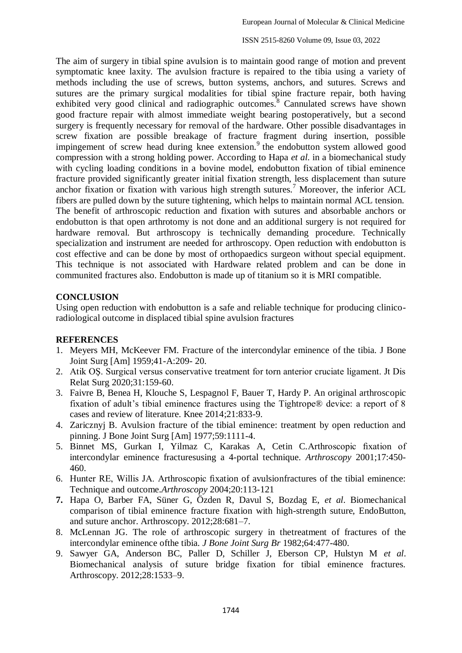ISSN 2515-8260 Volume 09, Issue 03, 2022

The aim of surgery in tibial spine avulsion is to maintain good range of motion and prevent symptomatic knee laxity. The avulsion fracture is repaired to the tibia using a variety of methods including the use of screws, button systems, anchors, and sutures. Screws and sutures are the primary surgical modalities for tibial spine fracture repair, both having exhibited very good clinical and radiographic outcomes.<sup>8</sup> Cannulated screws have shown good fracture repair with almost immediate weight bearing postoperatively, but a second surgery is frequently necessary for removal of the hardware. Other possible disadvantages in screw fixation are possible breakage of fracture fragment during insertion, possible impingement of screw head during knee extension.<sup>9</sup> the endobutton system allowed good compression with a strong holding power. According to Hapa *et al*. in a biomechanical study with cycling loading conditions in a bovine model, endobutton fixation of tibial eminence fracture provided significantly greater initial fixation strength, less displacement than suture anchor fixation or fixation with various high strength sutures.<sup>7</sup> Moreover, the inferior ACL fibers are pulled down by the suture tightening, which helps to maintain normal ACL tension. The benefit of arthroscopic reduction and fixation with sutures and absorbable anchors or endobutton is that open arthrotomy is not done and an additional surgery is not required for hardware removal. But arthroscopy is technically demanding procedure. Technically specialization and instrument are needed for arthroscopy. Open reduction with endobutton is cost effective and can be done by most of orthopaedics surgeon without special equipment. This technique is not associated with Hardware related problem and can be done in communited fractures also. Endobutton is made up of titanium so it is MRI compatible.

## **CONCLUSION**

Using open reduction with endobutton is a safe and reliable technique for producing clinicoradiological outcome in displaced tibial spine avulsion fractures

### **REFERENCES**

- 1. Meyers MH, McKeever FM. Fracture of the intercondylar eminence of the tibia. J Bone Joint Surg [Am] 1959;41-A:209- 20.
- 2. Atik OŞ. Surgical versus conservative treatment for torn anterior cruciate ligament. Jt Dis Relat Surg 2020;31:159-60.
- 3. Faivre B, Benea H, Klouche S, Lespagnol F, Bauer T, Hardy P. An original arthroscopic fixation of adult's tibial eminence fractures using the Tightrope® device: a report of 8 cases and review of literature. Knee 2014;21:833-9.
- 4. Zaricznyj B. Avulsion fracture of the tibial eminence: treatment by open reduction and pinning. J Bone Joint Surg [Am] 1977;59:1111-4.
- 5. [Binnet MS, Gurkan I, Yilmaz C, Karakas A, Cetin C.Arthroscopic fixation of](http://refhub.elsevier.com/S2212-6287(17)30347-X/sref5)  intercondylar eminence fracture[susing a 4-portal technique.](http://refhub.elsevier.com/S2212-6287(17)30347-X/sref5) *Arthroscopy* 2001;17:450- [460.](http://refhub.elsevier.com/S2212-6287(17)30347-X/sref5)
- 6. [Hunter RE, Willis JA. Arthroscopic fixation of avulsionfractures of the tibial eminence:](http://refhub.elsevier.com/S2212-6287(17)30347-X/sref6)  Technique and outcome.*Arthroscopy* [2004;20:113-121](http://refhub.elsevier.com/S2212-6287(17)30347-X/sref6)
- **7.** Hapa O, Barber FA, Süner G, Özden R, Davul S, Bozdag E, *et al*. Biomechanical comparison of tibial eminence fracture fixation with high-strength suture, EndoButton, and suture anchor. Arthroscopy. 2012;28:681–7.
- 8. [McLennan JG. The role of arthroscopic surgery in thetreatment of fractures of the](http://refhub.elsevier.com/S2212-6287(17)30347-X/sref8)  intercondylar eminence ofthe tibia. *[J Bone Joint Surg Br](http://refhub.elsevier.com/S2212-6287(17)30347-X/sref8)* 1982;64:477-480.
- 9. Sawyer GA, Anderson BC, Paller D, Schiller J, Eberson CP, Hulstyn M *et al*. Biomechanical analysis of suture bridge fixation for tibial eminence fractures. Arthroscopy. 2012;28:1533–9.